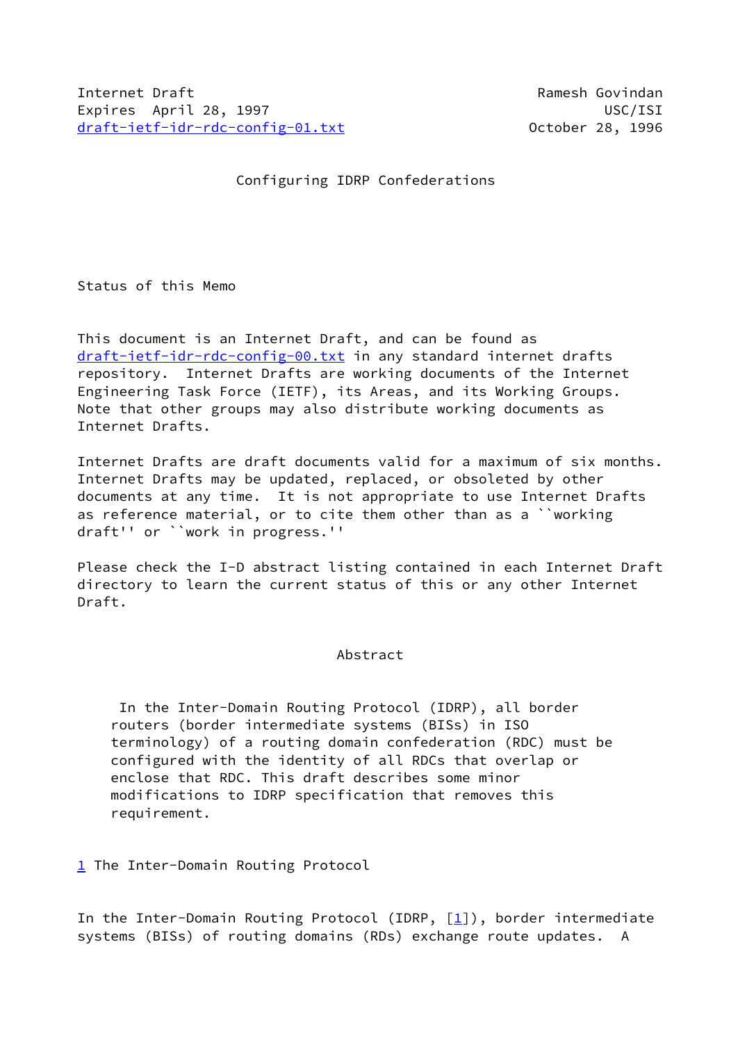Configuring IDRP Confederations

Status of this Memo

This document is an Internet Draft, and can be found as [draft-ietf-idr-rdc-config-00.txt](https://datatracker.ietf.org/doc/pdf/draft-ietf-idr-rdc-config-00.txt) in any standard internet drafts repository. Internet Drafts are working documents of the Internet Engineering Task Force (IETF), its Areas, and its Working Groups. Note that other groups may also distribute working documents as Internet Drafts.

Internet Drafts are draft documents valid for a maximum of six months. Internet Drafts may be updated, replaced, or obsoleted by other documents at any time. It is not appropriate to use Internet Drafts as reference material, or to cite them other than as a ``working draft'' or ``work in progress.''

Please check the I-D abstract listing contained in each Internet Draft directory to learn the current status of this or any other Internet Draft.

## Abstract

 In the Inter-Domain Routing Protocol (IDRP), all border routers (border intermediate systems (BISs) in ISO terminology) of a routing domain confederation (RDC) must be configured with the identity of all RDCs that overlap or enclose that RDC. This draft describes some minor modifications to IDRP specification that removes this requirement.

<span id="page-0-0"></span>[1](#page-0-0) The Inter-Domain Routing Protocol

In the Inter-Domain Routing Protocol (IDRP,  $[1]$ ), border intermediate systems (BISs) of routing domains (RDs) exchange route updates. A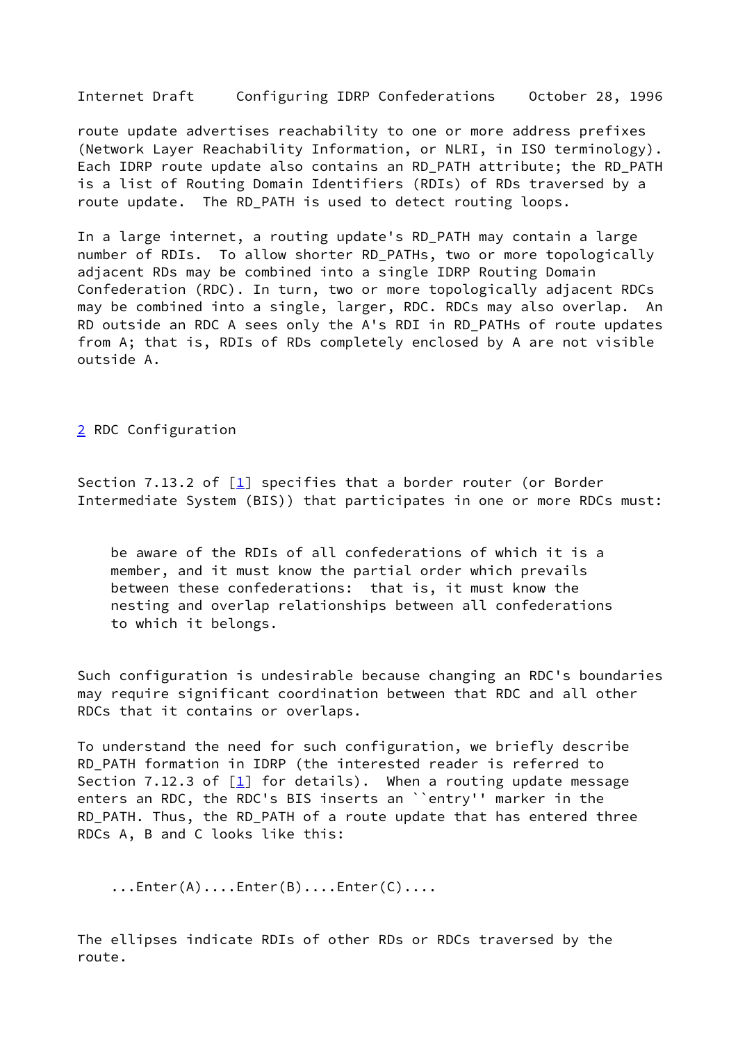Internet Draft Configuring IDRP Confederations October 28, 1996

route update advertises reachability to one or more address prefixes (Network Layer Reachability Information, or NLRI, in ISO terminology). Each IDRP route update also contains an RD\_PATH attribute; the RD\_PATH is a list of Routing Domain Identifiers (RDIs) of RDs traversed by a route update. The RD\_PATH is used to detect routing loops.

In a large internet, a routing update's RD\_PATH may contain a large number of RDIs. To allow shorter RD\_PATHs, two or more topologically adjacent RDs may be combined into a single IDRP Routing Domain Confederation (RDC). In turn, two or more topologically adjacent RDCs may be combined into a single, larger, RDC. RDCs may also overlap. An RD outside an RDC A sees only the A's RDI in RD\_PATHs of route updates from A; that is, RDIs of RDs completely enclosed by A are not visible outside A.

<span id="page-1-0"></span>[2](#page-1-0) RDC Configuration

Section 7.13.2 of  $\left[\underline{1}\right]$  specifies that a border router (or Border Intermediate System (BIS)) that participates in one or more RDCs must:

 be aware of the RDIs of all confederations of which it is a member, and it must know the partial order which prevails between these confederations: that is, it must know the nesting and overlap relationships between all confederations to which it belongs.

Such configuration is undesirable because changing an RDC's boundaries may require significant coordination between that RDC and all other RDCs that it contains or overlaps.

To understand the need for such configuration, we briefly describe RD\_PATH formation in IDRP (the interested reader is referred to Section 7.12.3 of  $\boxed{1}$  for details). When a routing update message enters an RDC, the RDC's BIS inserts an ``entry'' marker in the RD\_PATH. Thus, the RD\_PATH of a route update that has entered three RDCs A, B and C looks like this:

...Enter(A)....Enter(B)....Enter(C)....

The ellipses indicate RDIs of other RDs or RDCs traversed by the route.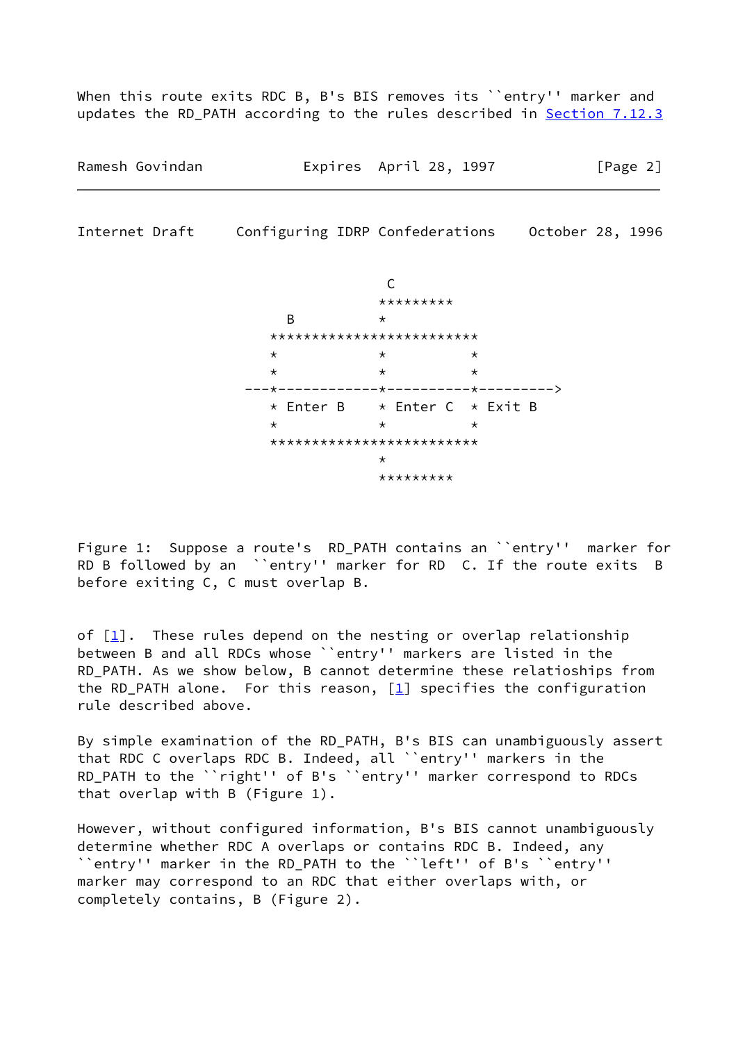When this route exits RDC B, B's BIS removes its ``entry'' marker and updates the RD\_PATH according to the rules described in Section 7.12.3

Ramesh Govindan Expires April 28, 1997 [Page 2]

Internet Draft Configuring IDRP Confederations October 28, 1996



Figure 1: Suppose a route's RD\_PATH contains an ``entry'' marker for RD B followed by an ``entry'' marker for RD C. If the route exits B before exiting C, C must overlap B.

of  $[1]$  $[1]$ . These rules depend on the nesting or overlap relationship between B and all RDCs whose ``entry'' markers are listed in the RD\_PATH. As we show below, B cannot determine these relatioships from the RD\_PATH alone. For this reason,  $[1]$  $[1]$  specifies the configuration rule described above.

By simple examination of the RD\_PATH, B's BIS can unambiguously assert that RDC C overlaps RDC B. Indeed, all ``entry'' markers in the RD\_PATH to the ``right'' of B's ``entry'' marker correspond to RDCs that overlap with B (Figure 1).

However, without configured information, B's BIS cannot unambiguously determine whether RDC A overlaps or contains RDC B. Indeed, any ``entry'' marker in the RD\_PATH to the ``left'' of B's ``entry'' marker may correspond to an RDC that either overlaps with, or completely contains, B (Figure 2).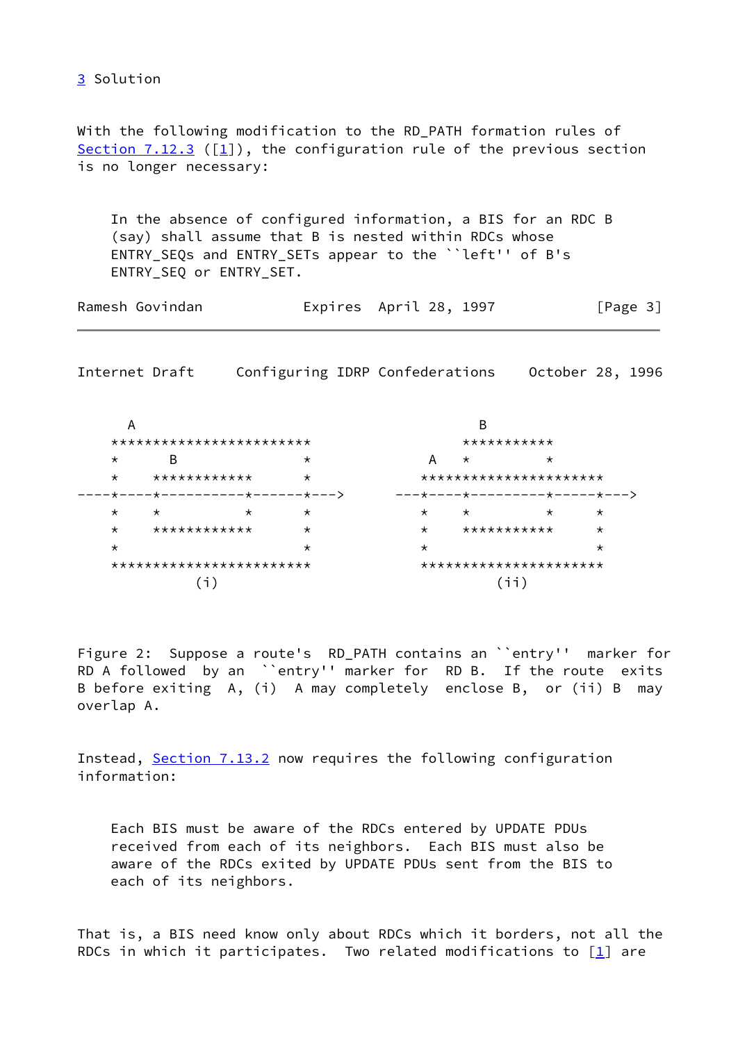<span id="page-3-0"></span>3 Solution

With the following modification to the RD\_PATH formation rules of Section  $7.12.3$  ( $[1]$ ), the configuration rule of the previous section is no longer necessary:

In the absence of configured information, a BIS for an RDC B (say) shall assume that B is nested within RDCs whose ENTRY\_SEQs and ENTRY\_SETs appear to the ``left'' of B's ENTRY\_SEQ or ENTRY\_SET.

| Ramesh Govindan |  | Expires April 28, 1997 | [Page 3] |
|-----------------|--|------------------------|----------|
|-----------------|--|------------------------|----------|

Internet Draft Configuring IDRP Confederations October 28, 1996

| Α       |                          | в                           |          |                        |         |                              |          |  |
|---------|--------------------------|-----------------------------|----------|------------------------|---------|------------------------------|----------|--|
|         | ************************ |                             |          | ***********            |         |                              |          |  |
| $\star$ | B                        |                             | $\star$  | А                      | $\star$ | $\star$                      |          |  |
| $\star$ | ************<br>$\star$  |                             |          | ********************** |         |                              |          |  |
|         |                          | ·★−−−−★−−−−−−−−−★−−−−−+−−−> |          |                        |         | ---*----*---------*----*---* |          |  |
| $\star$ | $\star$                  | $\star$                     | $\star$  | $\star$                | $\star$ | $\star$                      | $\star$  |  |
| $\star$ | ************<br>$\star$  |                             | $\star$  | ***********            |         | $^\star$                     |          |  |
| $\star$ |                          |                             | $^\star$ | $\star$                |         |                              | $^\star$ |  |
|         |                          | ************************    |          |                        |         | **********************       |          |  |
|         |                          |                             |          |                        |         |                              |          |  |

Figure 2: Suppose a route's RD\_PATH contains an ``entry'' marker for RD A followed by an ``entry'' marker for RD B. If the route exits B before exiting A, (i) A may completely enclose B, or (ii) B may overlap A.

Instead, Section 7.13.2 now requires the following configuration information:

Each BIS must be aware of the RDCs entered by UPDATE PDUs received from each of its neighbors. Each BIS must also be aware of the RDCs exited by UPDATE PDUs sent from the BIS to each of its neighbors.

That is, a BIS need know only about RDCs which it borders, not all the RDCs in which it participates. Two related modifications to  $[\underline{1}]$  are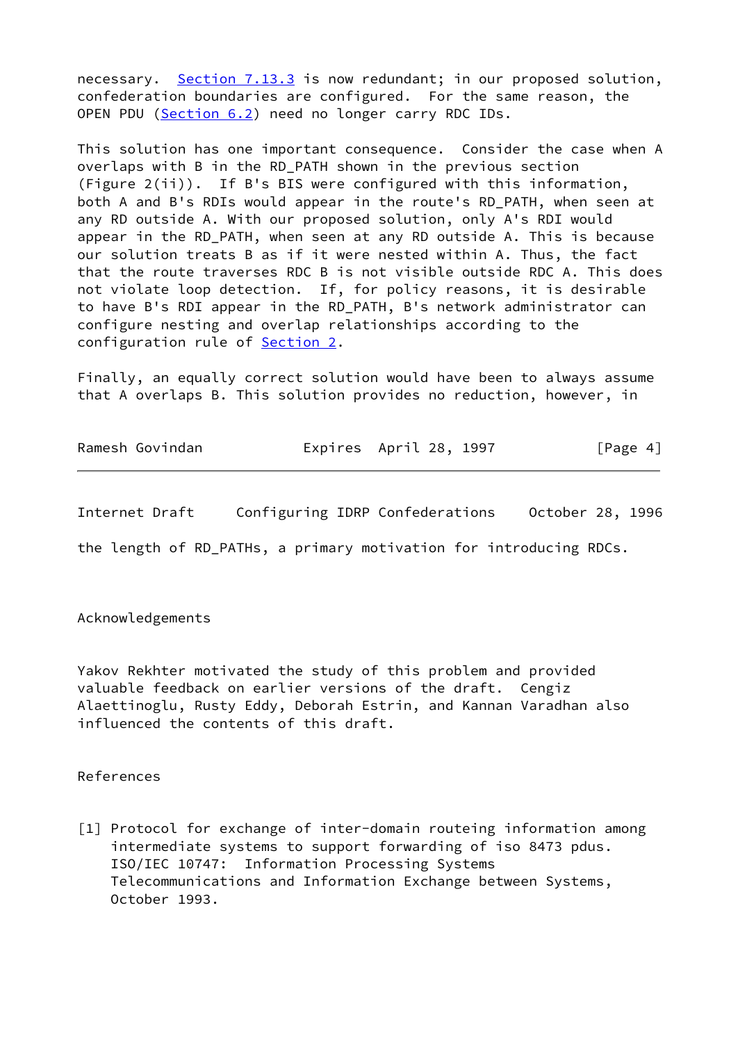necessary. Section 7.13.3 is now redundant; in our proposed solution, confederation boundaries are configured. For the same reason, the OPEN PDU (Section 6.2) need no longer carry RDC IDs.

This solution has one important consequence. Consider the case when A overlaps with B in the RD\_PATH shown in the previous section (Figure 2(ii)). If B's BIS were configured with this information, both A and B's RDIs would appear in the route's RD\_PATH, when seen at any RD outside A. With our proposed solution, only A's RDI would appear in the RD\_PATH, when seen at any RD outside A. This is because our solution treats B as if it were nested within A. Thus, the fact that the route traverses RDC B is not visible outside RDC A. This does not violate loop detection. If, for policy reasons, it is desirable to have B's RDI appear in the RD\_PATH, B's network administrator can configure nesting and overlap relationships according to the configuration rule of **[Section 2.](#page-1-0)** 

Finally, an equally correct solution would have been to always assume that A overlaps B. This solution provides no reduction, however, in

| Ramesh Govindan |  | Expires April 28, 1997 | [Page 4] |
|-----------------|--|------------------------|----------|
|-----------------|--|------------------------|----------|

Internet Draft Configuring IDRP Confederations October 28, 1996

the length of RD\_PATHs, a primary motivation for introducing RDCs.

Acknowledgements

Yakov Rekhter motivated the study of this problem and provided valuable feedback on earlier versions of the draft. Cengiz Alaettinoglu, Rusty Eddy, Deborah Estrin, and Kannan Varadhan also influenced the contents of this draft.

References

<span id="page-4-0"></span>[1] Protocol for exchange of inter-domain routeing information among intermediate systems to support forwarding of iso 8473 pdus. ISO/IEC 10747: Information Processing Systems Telecommunications and Information Exchange between Systems, October 1993.